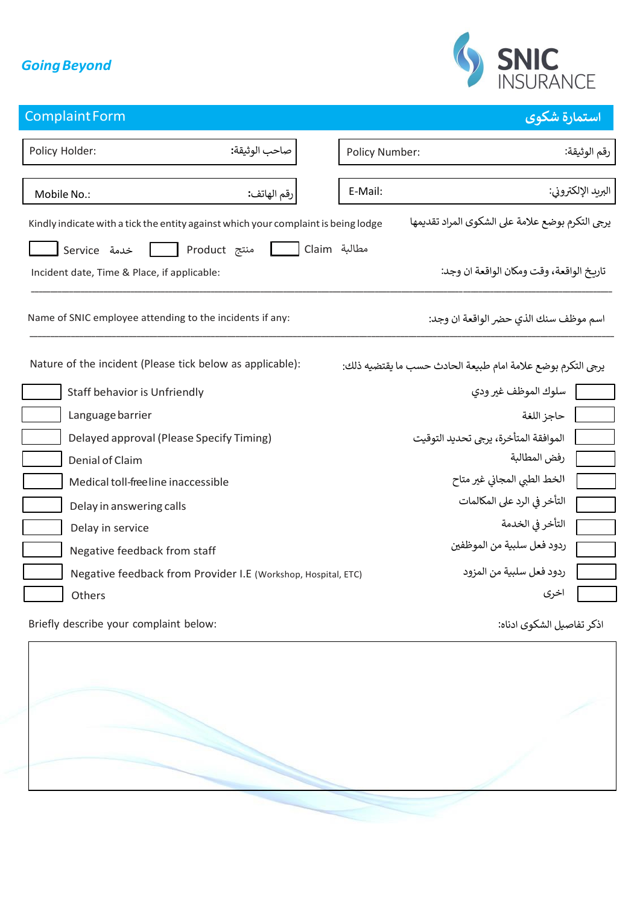## *GoingBeyond*



## **استمارة شكوى** ComplaintForm

| Policy Holder:<br>صاحب الوثيقة:                                                    | Policy Number:<br>رقم الوثيقة:                              |  |
|------------------------------------------------------------------------------------|-------------------------------------------------------------|--|
|                                                                                    |                                                             |  |
| رقم الهاتف:<br>Mobile No.:                                                         | البريد الإلكتروني:<br>E-Mail:                               |  |
| Kindly indicate with a tick the entity against which your complaint is being lodge | يرجى التكرم بوضع علامة على الشكوى المراد تقديمها            |  |
| Aroduct منتج<br>خدمة Service                                                       | مطالبة Claim                                                |  |
| Incident date, Time & Place, if applicable:                                        | تاربخ الواقعة، وقت ومكان الواقعة ان وجد:                    |  |
| Name of SNIC employee attending to the incidents if any:                           | اسم موظف سنك الذي حضر الواقعة ان وجد:                       |  |
| Nature of the incident (Please tick below as applicable):                          | يرجى التكرم بوضع علامة امام طبيعة الحادث حسب ما يقتضيه ذلك: |  |
| Staff behavior is Unfriendly                                                       | سلوك الموظف غير ودى                                         |  |
| Language barrier                                                                   | حاجز اللغة                                                  |  |
| Delayed approval (Please Specify Timing)                                           | الموافقة المتأخرة، يرجى تحديد التوقيت                       |  |
| Denial of Claim                                                                    | رفض المطالبة                                                |  |
| Medical toll-free line inaccessible                                                | الخط الطبي المجاني غير متاح                                 |  |
| Delay in answering calls                                                           | التأخر في الرد على المكالمات                                |  |
| Delay in service                                                                   | التأخر في الخدمة                                            |  |
| Negative feedback from staff                                                       | ردود فعل سلبية من الموظفين                                  |  |
| Negative feedback from Provider I.E (Workshop, Hospital, ETC)                      | ردود فعل سلبية من المزود                                    |  |
| Others                                                                             | اخرى                                                        |  |
| Briefly describe your complaint below:                                             | اذكر تفاصيل الشكوي ادناه:                                   |  |